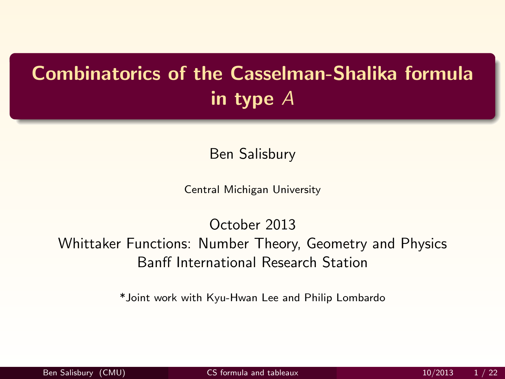# Combinatorics of the Casselman-Shalika formula in type A

Ben Salisbury

<span id="page-0-0"></span>Central Michigan University

October 2013 Whittaker Functions: Number Theory, Geometry and Physics Banff International Research Station

\*Joint work with Kyu-Hwan Lee and Philip Lombardo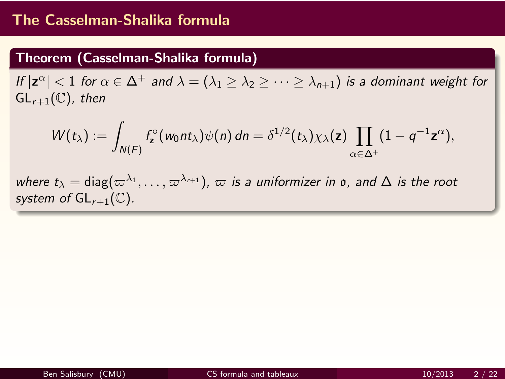#### Theorem (Casselman-Shalika formula)

If  $|z^\alpha| < 1$  for  $\alpha \in \Delta^+$  and  $\lambda = (\lambda_1 \geq \lambda_2 \geq \cdots \geq \lambda_{n+1})$  is a dominant weight for  $GL_{r+1}(\mathbb{C})$ , then

$$
W(t_\lambda):=\int_{N(F)}f_{\mathbf{z}}^{\circ}(w_0nt_\lambda)\psi(n)\,dn=\delta^{1/2}(t_\lambda)\chi_{\lambda}(\mathbf{z})\prod_{\alpha\in\Delta^+}(1-q^{-1}\mathbf{z}^{\alpha}),
$$

where  $t_\lambda = {\rm diag}(\varpi^{\lambda_1},\ldots,\varpi^{\lambda_{r+1}})$ ,  $\varpi$  is a uniformizer in  ${\mathfrak o}$ , and  $\Delta$  is the root system of  $GL_{r+1}(\mathbb{C})$ .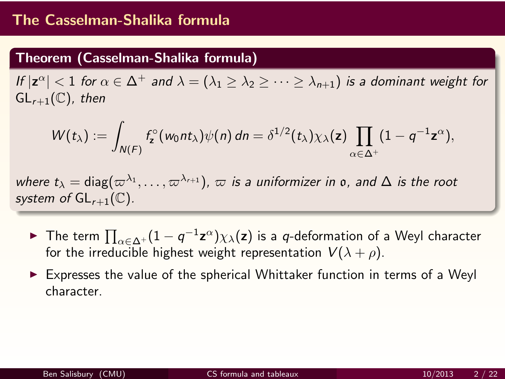#### Theorem (Casselman-Shalika formula)

If  $|z^\alpha| < 1$  for  $\alpha \in \Delta^+$  and  $\lambda = (\lambda_1 \geq \lambda_2 \geq \cdots \geq \lambda_{n+1})$  is a dominant weight for  $GL_{r+1}(\mathbb{C})$ , then

$$
W(t_\lambda):=\int_{N(F)}f_{\mathbf{z}}^{\circ}(w_0nt_\lambda)\psi(n)\,dn=\delta^{1/2}(t_\lambda)\chi_{\lambda}(\mathbf{z})\prod_{\alpha\in\Delta^+}(1-q^{-1}\mathbf{z}^{\alpha}),
$$

where  $t_\lambda = {\rm diag}(\varpi^{\lambda_1},\ldots,\varpi^{\lambda_{r+1}})$ ,  $\varpi$  is a uniformizer in  ${\mathfrak o}$ , and  $\Delta$  is the root system of  $GL_{r+1}(\mathbb{C})$ .

- ► The term  $\prod_{\alpha\in\Delta^+}(1-q^{-1}{\sf z}^\alpha)\chi_\lambda({\sf z})$  is a  $q$ -deformation of a Weyl character for the irreducible highest weight representation  $V(\lambda + \rho)$ .
- $\triangleright$  Expresses the value of the spherical Whittaker function in terms of a Weyl character.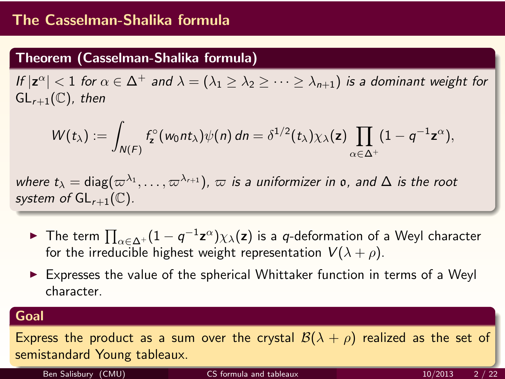#### Theorem (Casselman-Shalika formula)

If  $|z^\alpha| < 1$  for  $\alpha \in \Delta^+$  and  $\lambda = (\lambda_1 \geq \lambda_2 \geq \cdots \geq \lambda_{n+1})$  is a dominant weight for  $GL_{r+1}(\mathbb{C})$ , then

$$
W(t_\lambda):=\int_{N(F)}f_{\mathbf{z}}^{\circ}(w_0nt_\lambda)\psi(n)\,dn=\delta^{1/2}(t_\lambda)\chi_{\lambda}(\mathbf{z})\prod_{\alpha\in\Delta^+}(1-q^{-1}\mathbf{z}^{\alpha}),
$$

where  $t_\lambda = {\rm diag}(\varpi^{\lambda_1},\ldots,\varpi^{\lambda_{r+1}})$ ,  $\varpi$  is a uniformizer in  ${\mathfrak o}$ , and  $\Delta$  is the root system of  $GL_{r+1}(\mathbb{C})$ .

- ► The term  $\prod_{\alpha\in\Delta^+}(1-q^{-1}{\sf z}^\alpha)\chi_\lambda({\sf z})$  is a  $q$ -deformation of a Weyl character for the irreducible highest weight representation  $V(\lambda + \rho)$ .
- $\triangleright$  Expresses the value of the spherical Whittaker function in terms of a Weyl character.

#### Goal

Express the product as a sum over the crystal  $\mathcal{B}(\lambda + \rho)$  realized as the set of semistandard Young tableaux.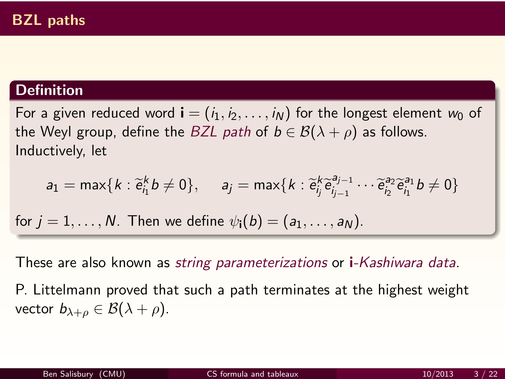For a given reduced word  $\mathbf{i} = (i_1, i_2, \dots, i_N)$  for the longest element  $w_0$  of the Weyl group, define the BZL path of  $b \in \mathcal{B}(\lambda + \rho)$  as follows. Inductively, let

$$
a_1 = \max\{k : \widetilde{e}_{i_1}^k b \neq 0\}, \quad a_j = \max\{k : \widetilde{e}_{i_j}^k \widetilde{e}_{i_{j-1}}^{a_{j-1}} \cdots \widetilde{e}_{i_2}^{a_2} \widetilde{e}_{i_1}^{a_1} b \neq 0\}
$$

for  $j = 1, \ldots, N$ . Then we define  $\psi_i(b) = (a_1, \ldots, a_N)$ .

These are also known as string parameterizations or i-Kashiwara data.

P. Littelmann proved that such a path terminates at the highest weight vector  $b_{\lambda+\rho} \in \mathcal{B}(\lambda+\rho)$ .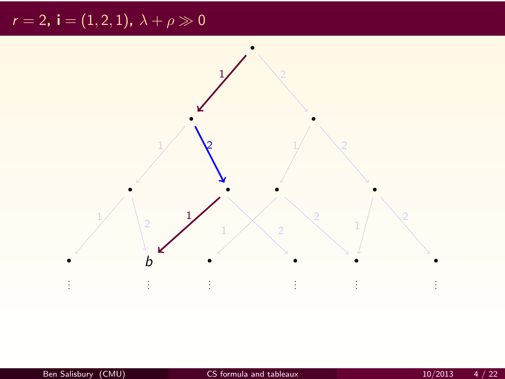## $r = 2$ ,  $i = (1, 2, 1)$ ,  $\lambda + \rho \gg 0$

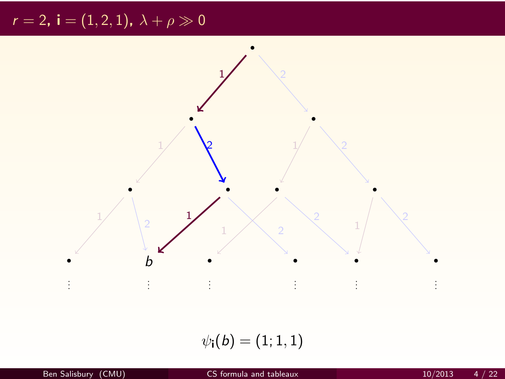## $r = 2$ ,  $i = (1, 2, 1)$ ,  $\lambda + \rho \gg 0$



## $\psi_i(b) = (1; 1, 1)$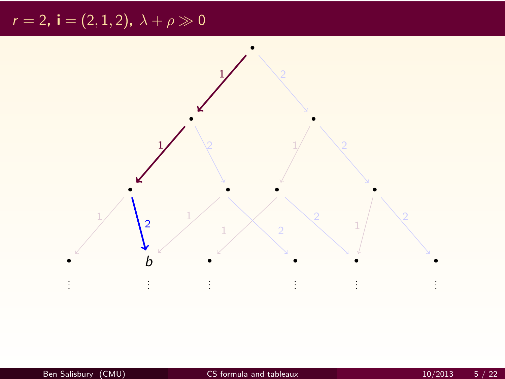## $r = 2$ ,  $i = (2, 1, 2)$ ,  $\lambda + \rho \gg 0$

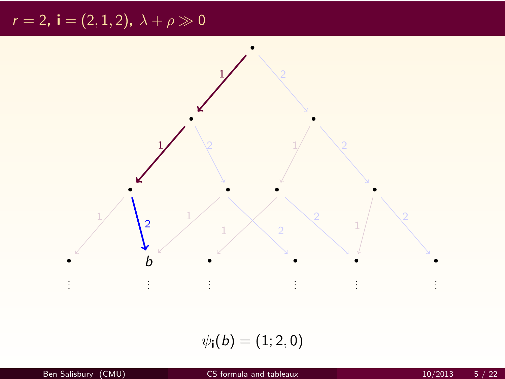## $r = 2$ ,  $i = (2, 1, 2)$ ,  $\lambda + \rho \gg 0$



## $\psi_i(b) = (1, 2, 0)$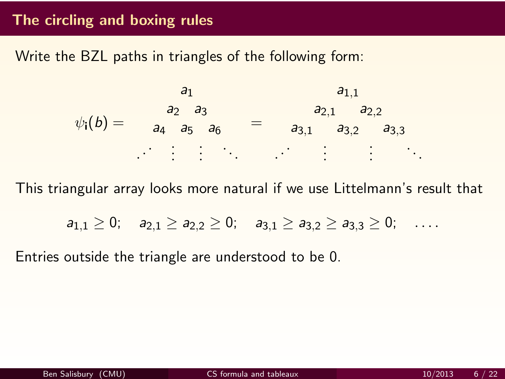## The circling and boxing rules

Write the BZL paths in triangles of the following form:

$$
\psi_1(b) = \begin{array}{ccccc}\n a_1 & a_{1,1} & a_{1,1} & a_{2,2} & a_{2,3} & a_{2,1} & a_{2,2} \\
 a_4 & a_5 & a_6 & = & a_{3,1} & a_{3,2} & a_{3,3} & a_{3,3} & a_{3,3} & a_{3,3} & a_{3,3} & a_{3,3} & a_{3,3} & a_{3,3} & a_{3,3} & a_{3,3} & a_{3,3} & a_{3,3} & a_{3,3} & a_{3,3} & a_{3,3} & a_{3,3} & a_{3,3} & a_{3,3} & a_{3,3} & a_{3,3} & a_{3,3} & a_{3,3} & a_{3,3} & a_{3,3} & a_{3,3} & a_{3,3} & a_{3,3} & a_{3,3} & a_{3,3} & a_{3,3} & a_{3,3} & a_{3,3} & a_{3,3} & a_{3,3} & a_{3,3} & a_{3,3} & a_{3,3} & a_{3,3} & a_{3,3} & a_{3,3} & a_{3,3} & a_{3,3} & a_{3,3} & a_{3,3} & a_{3,3} & a_{3,3} & a_{3,3} & a_{3,3} & a_{3,3} & a_{3,3} & a_{3,3} & a_{3,3} & a_{3,3} & a_{3,3} & a_{3,3} & a_{3,3} & a_{3,3} & a_{3,3} & a_{3,3} & a_{3,3} & a_{3,3} & a_{3,3} & a_{3,3} & a_{3,3} & a_{3,3} & a_{3,3} & a_{3,3} & a_{3,3} & a_{3,3} & a_{3,3} & a_{3,3} & a_{3,3} & a_{3,3} & a_{3,3} & a_{3,3} & a_{3,3} & a_{3,3} & a_{3,3} & a_{3,3} & a_{3,3} & a_{3,3} & a_{3,3} & a_{3,3} & a_{3,3} & a_{3,3} & a_{3,3} & a_{3,3} & a_{3,3} & a_{3,3} & a_{3,3} & a_{3,3} & a_{3,3} & a_{3,3} & a_{3,3} & a_{3,3} & a_{3,3
$$

This triangular array looks more natural if we use Littelmann's result that

 $a_{1,1} > 0$ ;  $a_{2,1} > a_{2,2} > 0$ ;  $a_{3,1} > a_{3,2} > a_{3,3} > 0$ ; ...

Entries outside the triangle are understood to be 0.

.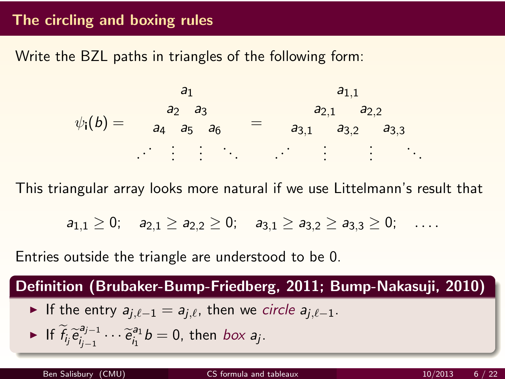### The circling and boxing rules

Write the BZL paths in triangles of the following form:

$$
\psi_{\mathbf{i}}(b) = \begin{array}{ccccc}\n a_1 & a_{1,1} & a_{1,1} & a_{2,2} & a_{2,1} & a_{2,2} & a_{2,1} & a_{2,2} & a_{2,1} & a_{2,2} & a_{2,1} & a_{2,2} & a_{2,3} & a_{2,3} & a_{2,3} & a_{2,3} & a_{2,3} & a_{2,3} & a_{2,3} & a_{2,3} & a_{2,3} & a_{2,3} & a_{2,3} & a_{2,3} & a_{2,3} & a_{2,3} & a_{2,3} & a_{2,3} & a_{2,3} & a_{2,3} & a_{2,3} & a_{2,3} & a_{2,3} & a_{2,3} & a_{2,3} & a_{2,3} & a_{2,3} & a_{2,3} & a_{2,3} & a_{2,3} & a_{2,3} & a_{2,3} & a_{2,3} & a_{2,3} & a_{2,3} & a_{2,3} & a_{2,3} & a_{2,3} & a_{2,3} & a_{2,3} & a_{2,3} & a_{2,3} & a_{2,3} & a_{2,3} & a_{2,3} & a_{2,3} & a_{2,3} & a_{2,3} & a_{2,3} & a_{2,3} & a_{2,3} & a_{2,3} & a_{2,3} & a_{2,3} & a_{2,3} & a_{2,3} & a_{2,3} & a_{2,3} & a_{2,3} & a_{2,3} & a_{2,3} & a_{2,3} & a_{2,3} & a_{2,3} & a_{2,3} & a_{2,3} & a_{2,3} & a_{2,3} & a_{2,3} & a_{2,3} & a_{2,3} & a_{2,3} & a_{2,3} & a_{2,3} & a_{2,3} & a_{2,3} & a_{2,3} & a_{2,3} & a_{2,3} & a_{2,3} & a_{2,3} & a_{2,3} & a_{2,3} & a_{2,3} & a_{2,3} & a_{2,3} & a_{2,3} & a_{2,3} & a_{2,3} & a_{2,3} & a_{2,3} & a_{2,3} & a_{2,3} & a_{2,3} & a_{2,3} & a_{2,3} &
$$

This triangular array looks more natural if we use Littelmann's result that

$$
a_{1,1} \ge 0
$$
;  $a_{2,1} \ge a_{2,2} \ge 0$ ;  $a_{3,1} \ge a_{3,2} \ge a_{3,3} \ge 0$ ; ...

Entries outside the triangle are understood to be 0.

## Definition (Brubaker-Bump-Friedberg, 2011; Bump-Nakasuji, 2010)

If the entry 
$$
a_{j,\ell-1} = a_{j,\ell}
$$
, then we circle  $a_{j,\ell-1}$ .

$$
\text{If } \widetilde{f}_{ij} \widetilde{e}_{i_{j-1}}^{a_{j-1}} \cdots \widetilde{e}_{i_1}^{a_1} b = 0, \text{ then } box \ a_j.
$$

. .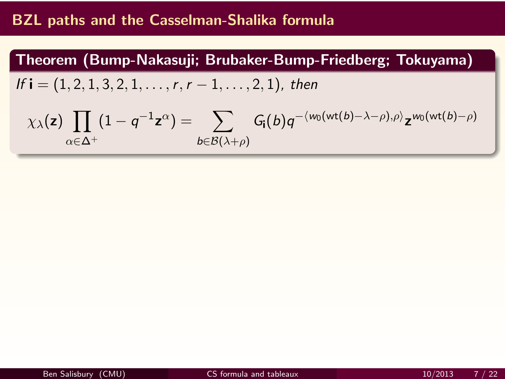## BZL paths and the Casselman-Shalika formula

Theorem (Bump-Nakasuji; Brubaker-Bump-Friedberg; Tokuyama)

 $If i = (1, 2, 1, 3, 2, 1, \ldots, r, r - 1, \ldots, 2, 1), then$ 

$$
\chi_{\lambda}(\mathbf{z}) \prod_{\alpha \in \Delta^{+}} (1 - q^{-1} \mathbf{z}^{\alpha}) = \sum_{b \in \mathcal{B}(\lambda + \rho)} G_{\mathbf{i}}(b) q^{-\langle w_{0}(wt(b) - \lambda - \rho), \rho \rangle} \mathbf{z}^{w_{0}(wt(b) - \rho)}
$$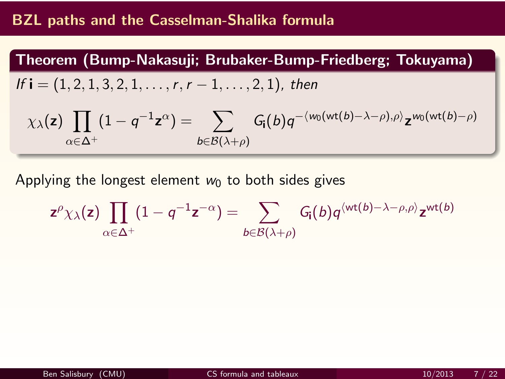## BZL paths and the Casselman-Shalika formula

Theorem (Bump-Nakasuji; Brubaker-Bump-Friedberg; Tokuyama)

If 
$$
i = (1, 2, 1, 3, 2, 1, \ldots, r, r - 1, \ldots, 2, 1)
$$
, then

$$
\chi_{\lambda}(\mathsf{z})\prod_{\alpha\in\Delta^+}(1-q^{-1}\mathsf{z}^{\alpha})=\sum_{b\in\mathcal{B}(\lambda+\rho)}G_{\mathsf{i}}(b)q^{-\langle w_0(w\mathsf{t}(b)-\lambda-\rho),\rho\rangle}\mathsf{z}^{w_0(w\mathsf{t}(b)-\rho)}
$$

Applying the longest element  $w_0$  to both sides gives

$$
\mathsf{z}^\rho\chi_\lambda(\mathsf{z})\prod_{\alpha\in\Delta^+}(1-q^{-1}\mathsf{z}^{-\alpha})=\sum_{b\in\mathcal{B}(\lambda+\rho)}\mathsf{G}_{\mathsf{i}}(b)q^{\langle \mathsf{wt}(b)-\lambda-\rho,\rho\rangle}\mathsf{z}^{\mathsf{wt}(b)}
$$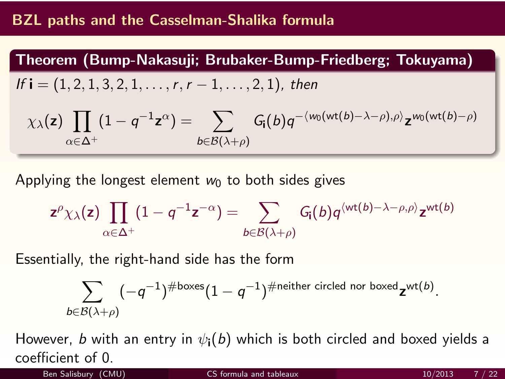## BZL paths and the Casselman-Shalika formula

Theorem (Bump-Nakasuji; Brubaker-Bump-Friedberg; Tokuyama)

If 
$$
i = (1, 2, 1, 3, 2, 1, \ldots, r, r - 1, \ldots, 2, 1)
$$
, then

$$
\chi_{\lambda}(\mathbf{z}) \prod_{\alpha \in \Delta^{+}} (1 - q^{-1} \mathbf{z}^{\alpha}) = \sum_{b \in \mathcal{B}(\lambda + \rho)} G_{\mathbf{i}}(b) q^{-\langle w_{0}(wt(b) - \lambda - \rho), \rho \rangle} \mathbf{z}^{w_{0}(wt(b) - \rho)}
$$

Applying the longest element  $w_0$  to both sides gives

$$
\mathsf{z}^\rho\chi_\lambda(\mathsf{z})\prod_{\alpha\in\Delta^+}(1-q^{-1}\mathsf{z}^{-\alpha})=\sum_{b\in\mathcal{B}(\lambda+\rho)}\mathsf{G}_{\mathsf{i}}(b)q^{\langle \mathsf{wt}(b)-\lambda-\rho,\rho\rangle}\mathsf{z}^{\mathsf{wt}(b)}
$$

Essentially, the right-hand side has the form

$$
\sum_{b\in \mathcal{B}(\lambda+\rho)} (-q^{-1})^{\#\text{boxes}}(1-q^{-1})^{\#\text{neither circled nor boxed}}{\mathsf{z}^{\sf{wt}(b)}}.
$$

However, b with an entry in  $\psi_i(b)$  which is both circled and boxed yields a coefficient of 0.

Ben Salisbury (CMU) [CS formula and tableaux](#page-0-0) 10/2013 10/2013 7 / 22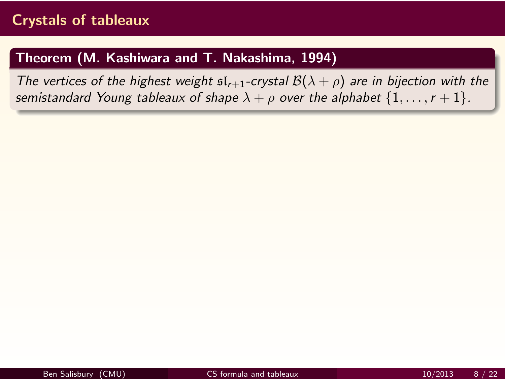#### Theorem (M. Kashiwara and T. Nakashima, 1994)

The vertices of the highest weight  $\mathfrak{sl}_{r+1}$ -crystal  $\mathcal{B}(\lambda + \rho)$  are in bijection with the semistandard Young tableaux of shape  $\lambda + \rho$  over the alphabet  $\{1, \ldots, r + 1\}$ .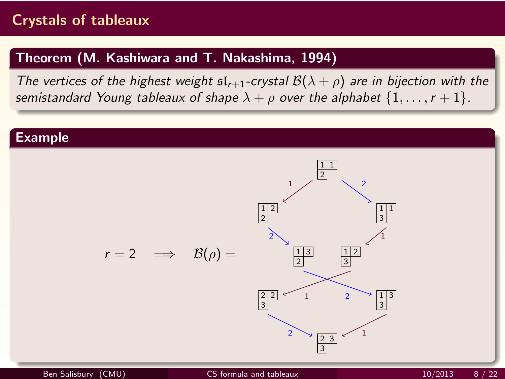#### Theorem (M. Kashiwara and T. Nakashima, 1994)

The vertices of the highest weight  $\mathfrak{sl}_{r+1}$ -crystal  $\mathcal{B}(\lambda + \rho)$  are in bijection with the semistandard Young tableaux of shape  $\lambda + \rho$  over the alphabet  $\{1, \ldots, r + 1\}$ .

#### Example

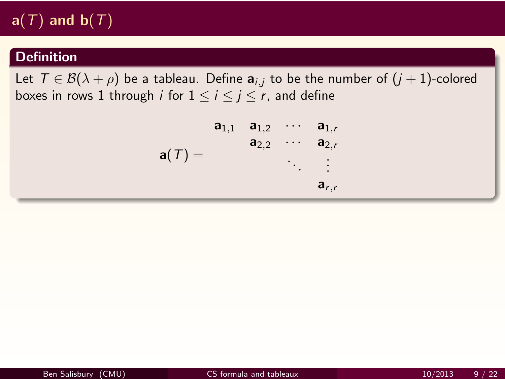Let  $T \in \mathcal{B}(\lambda + \rho)$  be a tableau. Define  $a_{i,j}$  to be the number of  $(j + 1)$ -colored boxes in rows 1 through *i* for  $1 \le i \le j \le r$ , and define

$$
\mathbf{a}_{1,1} \quad \mathbf{a}_{1,2} \quad \cdots \quad \mathbf{a}_{1,r} \\ \mathbf{a}_{2,2} \quad \cdots \quad \mathbf{a}_{2,r} \\ \vdots \\ \mathbf{a}_{r,r}
$$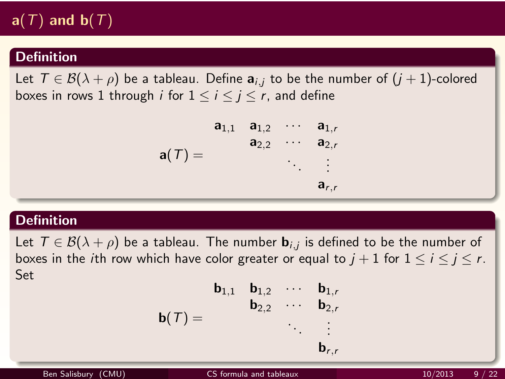Let  $\mathcal{T} \in \mathcal{B}(\lambda + \rho)$  be a tableau. Define  $\mathbf{a}_{i,j}$  to be the number of  $(j + 1)$ -colored boxes in rows 1 through *i* for  $1 \le i \le j \le r$ , and define

> $a(T) =$  $a_{1,1}$   $a_{1,2}$   $\cdots$   $a_{1,r}$  $a_{2,2} \cdots a_{2,r}$  $\mathbb{R}^{\mathbb{Z}^{\times 1}}$  $a_{r,r}$

#### Definition

Let  $\mathcal{T} \in \mathcal{B}(\lambda + \rho)$  be a tableau. The number  $\mathbf{b}_{i,j}$  is defined to be the number of boxes in the *i*th row which have color greater or equal to  $j + 1$  for  $1 \le i \le j \le r$ . Set

$$
\mathbf{b}_{1,1} \quad \mathbf{b}_{1,2} \quad \cdots \quad \mathbf{b}_{1,r} \\ \mathbf{b}_{2,2} \quad \cdots \quad \mathbf{b}_{2,r} \\ \vdots \\ \mathbf{b}_{r,r} \quad \mathbf{b}_{r,r}
$$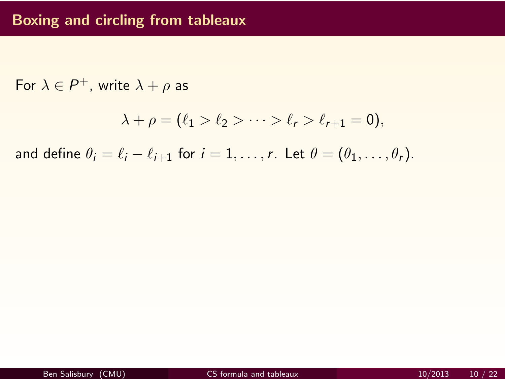For  $\lambda \in P^+$ , write  $\lambda + \rho$  as

$$
\lambda + \rho = (\ell_1 > \ell_2 > \cdots > \ell_r > \ell_{r+1} = 0),
$$

and define  $\theta_i = \ell_i - \ell_{i+1}$  for  $i = 1, \ldots, r$ . Let  $\theta = (\theta_1, \ldots, \theta_r)$ .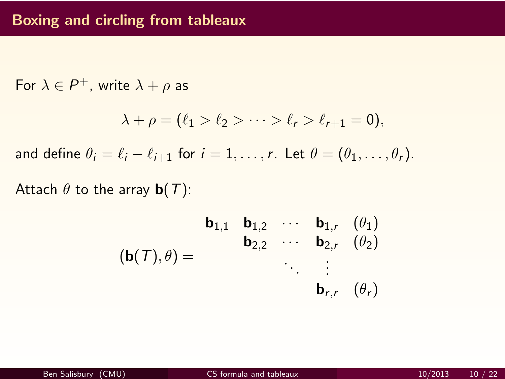For  $\lambda \in P^+$ , write  $\lambda + \rho$  as  $\lambda + \rho = (\ell_1 > \ell_2 > \cdots > \ell_r > \ell_{r+1} = 0),$ and define  $\theta_i = \ell_i - \ell_{i+1}$  for  $i = 1, \ldots, r$ . Let  $\theta = (\theta_1, \ldots, \theta_r)$ . Attach  $\theta$  to the array  $\mathbf{b}(\mathcal{T})$ :

$$
\mathbf{b}_{1,1} \quad \mathbf{b}_{1,2} \quad \cdots \quad \mathbf{b}_{1,r} \quad (\theta_1)
$$
\n
$$
(\mathbf{b}(T), \theta) = \begin{array}{cccc} \mathbf{b}_{1,1} & \mathbf{b}_{1,2} & \cdots & \mathbf{b}_{1,r} & (\theta_1) \\ \mathbf{b}_{2,2} & \cdots & \mathbf{b}_{2,r} & (\theta_2) \\ & \ddots & \vdots & \\ & & \mathbf{b}_{r,r} & (\theta_r) \end{array}
$$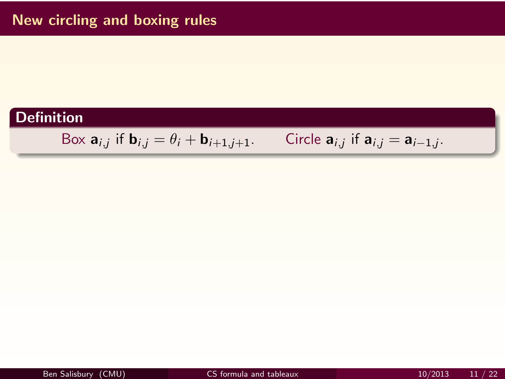Box 
$$
\mathbf{a}_{i,j}
$$
 if  $\mathbf{b}_{i,j} = \theta_i + \mathbf{b}_{i+1,j+1}$ . Circle  $\mathbf{a}_{i,j}$  if  $\mathbf{a}_{i,j} = \mathbf{a}_{i-1,j}$ .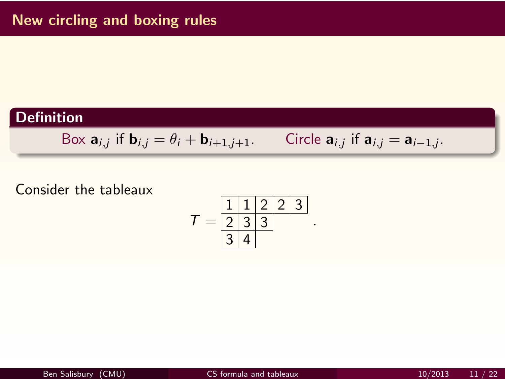Box 
$$
\mathbf{a}_{i,j}
$$
 if  $\mathbf{b}_{i,j} = \theta_i + \mathbf{b}_{i+1,j+1}$ . Circle  $\mathbf{a}_{i,j}$  if  $\mathbf{a}_{i,j} = \mathbf{a}_{i-1,j}$ .

Consider the tableaux

$$
T = \frac{1 \ 1 \ 1 \ 2 \ 2 \ 3}{3 \ 3}
$$

.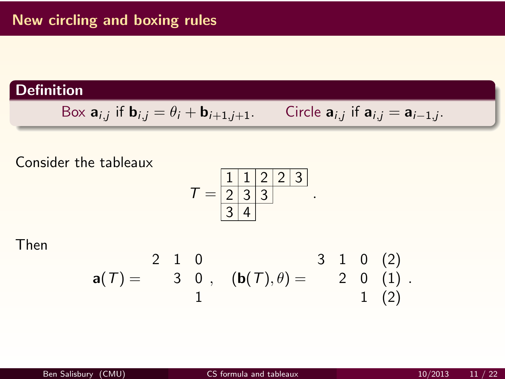Box 
$$
\mathbf{a}_{i,j}
$$
 if  $\mathbf{b}_{i,j} = \theta_i + \mathbf{b}_{i+1,j+1}$ . Circle  $\mathbf{a}_{i,j}$  if  $\mathbf{a}_{i,j} = \mathbf{a}_{i-1,j}$ .

Consider the tableaux

$$
T = \frac{1 \mid 1 \mid 2 \mid 2 \mid 3}{3 \mid 4}
$$

.

Then

$$
\mathbf{a}(\mathcal{T}) = \begin{pmatrix} 2 & 1 & 0 \\ 3 & 0 \\ 1 & 1 \end{pmatrix}, \quad (\mathbf{b}(\mathcal{T}), \theta) = \begin{pmatrix} 3 & 1 & 0 & (2) \\ 2 & 0 & (1) \\ 1 & 1 & (2) \end{pmatrix}.
$$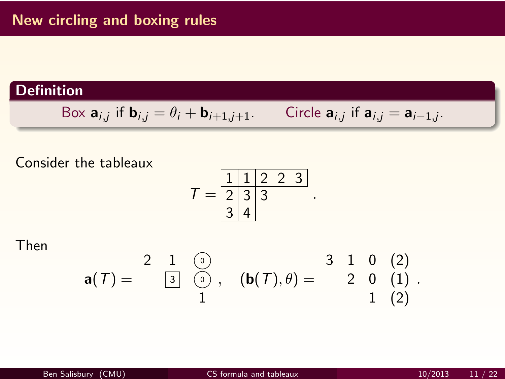Box 
$$
\mathbf{a}_{i,j}
$$
 if  $\mathbf{b}_{i,j} = \theta_i + \mathbf{b}_{i+1,j+1}$ . Circle  $\mathbf{a}_{i,j}$  if  $\mathbf{a}_{i,j} = \mathbf{a}_{i-1,j}$ .

## Consider the tableaux

$$
T = \frac{1 \ 1 \ 1 \ 2 \ 2 \ 3}{3 \ 3}
$$

.

Then

$$
\mathbf{a}(\mathcal{T}) = \begin{pmatrix} 2 & 1 & 0 \\ 3 & 0 \\ 1 & 0 \end{pmatrix}, \quad (\mathbf{b}(\mathcal{T}), \theta) = \begin{pmatrix} 3 & 1 & 0 & (2) \\ 2 & 0 & (1) \\ 1 & (2) & 1 \end{pmatrix}.
$$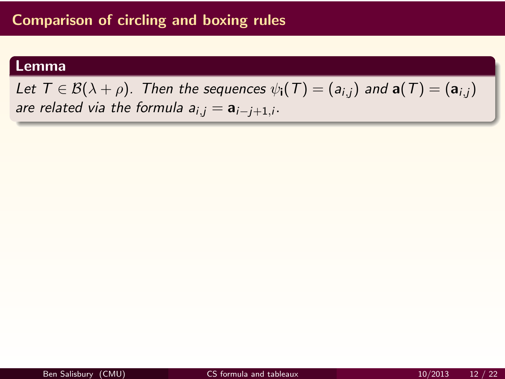Let  $T \in \mathcal{B}(\lambda + \rho)$ . Then the sequences  $\psi_i(T) = (a_{i,j})$  and  $\mathbf{a}(T) = (\mathbf{a}_{i,j})$ are related via the formula a $_{i,j} = \mathsf{a}_{i-j+1,i}.$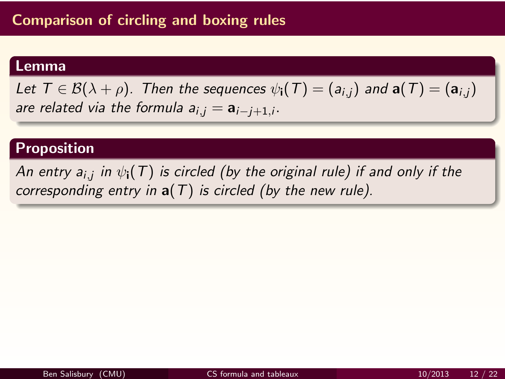Let  $T \in \mathcal{B}(\lambda + \rho)$ . Then the sequences  $\psi_i(T) = (a_{i,i})$  and  $\mathbf{a}(T) = (\mathbf{a}_{i,i})$ are related via the formula a $_{i,j} = \mathsf{a}_{i-j+1,i}.$ 

#### Proposition

An entry a $_{i,j}$  in  $\psi_{\textbf{i}}(\mathcal{\text{T}})$  is circled (by the original rule) if and only if the corresponding entry in  $a(T)$  is circled (by the new rule).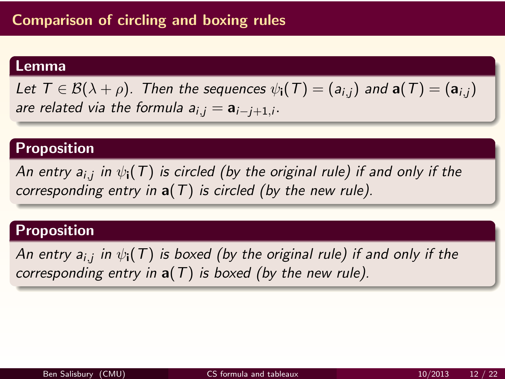Let  $T \in \mathcal{B}(\lambda + \rho)$ . Then the sequences  $\psi_i(T) = (a_{i,i})$  and  $\mathbf{a}(T) = (\mathbf{a}_{i,i})$ are related via the formula a $_{i,j} = \mathsf{a}_{i-j+1,i}.$ 

#### **Proposition**

An entry a $_{i,j}$  in  $\psi_{\textbf{i}}(\mathcal{\text{T}})$  is circled (by the original rule) if and only if the corresponding entry in  $a(T)$  is circled (by the new rule).

#### Proposition

An entry a $_{i,j}$  in  $\psi_{\mathsf{i}}(\mathsf{T})$  is boxed (by the original rule) if and only if the corresponding entry in  $a(T)$  is boxed (by the new rule).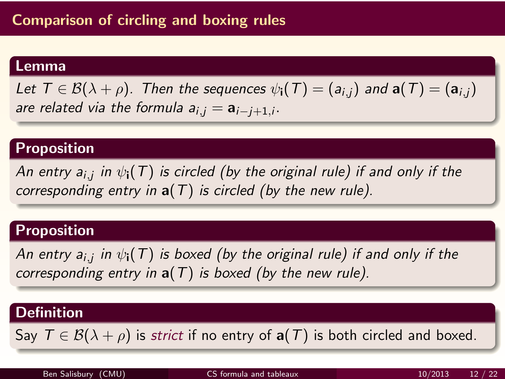Let  $T \in \mathcal{B}(\lambda + \rho)$ . Then the sequences  $\psi_i(T) = (a_{i,i})$  and  $\mathbf{a}(T) = (\mathbf{a}_{i,i})$ are related via the formula a $_{i,j} = \mathsf{a}_{i-j+1,i}.$ 

#### **Proposition**

An entry a $_{i,j}$  in  $\psi_{\textbf{i}}(\mathcal{\text{T}})$  is circled (by the original rule) if and only if the corresponding entry in  $a(T)$  is circled (by the new rule).

#### Proposition

An entry a $_{i,j}$  in  $\psi_{\mathsf{i}}(\mathsf{T})$  is boxed (by the original rule) if and only if the corresponding entry in  $a(T)$  is boxed (by the new rule).

#### Definition

Say  $T \in \mathcal{B}(\lambda + \rho)$  is strict if no entry of  $a(T)$  is both circled and boxed.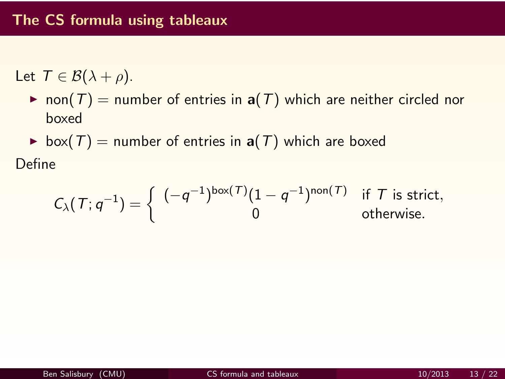Let  $T \in \mathcal{B}(\lambda + \rho)$ .

- non(T) = number of entries in  $a(T)$  which are neither circled nor boxed
- $\triangleright$  box(T) = number of entries in  $a(T)$  which are boxed

Define

$$
C_{\lambda}(\mathcal{T}; q^{-1}) = \left\{ \begin{array}{cc} (-q^{-1})^{\text{box}(\mathcal{T})}(1-q^{-1})^{\text{non}(\mathcal{T})} & \text{if } \mathcal{T} \text{ is strict,} \\ 0 & \text{otherwise.} \end{array} \right.
$$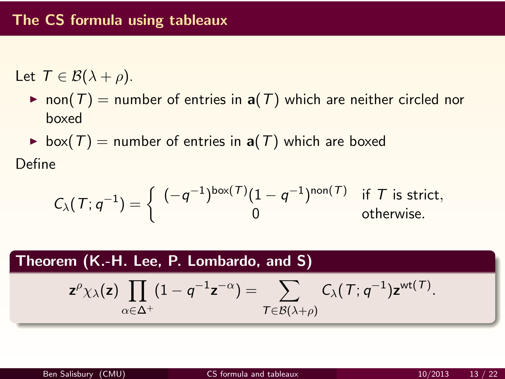Let  $T \in \mathcal{B}(\lambda + \rho)$ .

- non(T) = number of entries in  $a(T)$  which are neither circled nor boxed
- $\triangleright$  box(T) = number of entries in  $a(T)$  which are boxed

Define

$$
C_{\lambda}(\mathcal{T}; q^{-1}) = \left\{ \begin{array}{cc} (-q^{-1})^{\text{box}(\mathcal{T})}(1-q^{-1})^{\text{non}(\mathcal{T})} & \text{if } \mathcal{T} \text{ is strict,} \\ 0 & \text{otherwise.} \end{array} \right.
$$

Theorem (K.-H. Lee, P. Lombardo, and S)

$$
\mathbf{z}^{\rho} \chi_{\lambda}(\mathbf{z}) \prod_{\alpha \in \Delta^{+}} (1 - q^{-1} \mathbf{z}^{-\alpha}) = \sum_{\mathcal{T} \in \mathcal{B}(\lambda + \rho)} C_{\lambda}(\mathcal{T}; q^{-1}) \mathbf{z}^{\mathrm{wt}(\mathcal{T})}.
$$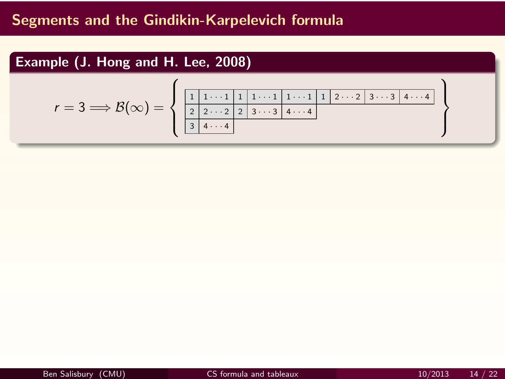## Example (J. Hong and H. Lee, 2008)

r = 3 =⇒ B(∞) = 1 1 · · · 1 1 1 · · · 1 1 · · · 1 1 2 · · · 2 3 · · · 3 4 · · · 4 2 2 · · · 2 2 3 · · · 3 4 · · · 4 3 4 · · · 4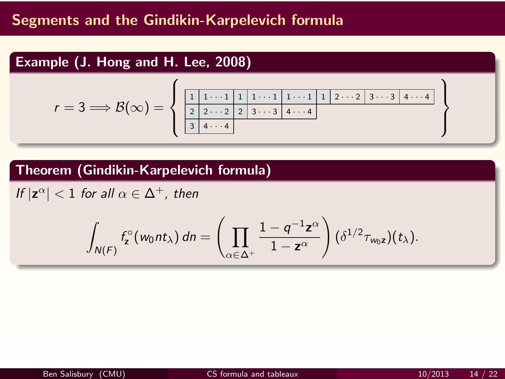### Example (J. Hong and H. Lee, 2008)

$$
r=3\Longrightarrow \mathcal{B}(\infty)=\Bigg\{
$$

 2 2 · · · 2 2 3 · · · 3 4 · · · 4 3 4 · · · 4

#### Theorem (Gindikin-Karpelevich formula)

If  $|\mathsf{z}^\alpha| < 1$  for all  $\alpha \in \Delta^+$ , then

$$
\int_{N(F)} f_{\mathsf{z}}^{\circ}(w_0nt_{\lambda}) dn = \left(\prod_{\alpha \in \Delta^+} \frac{1-q^{-1}\mathsf{z}^{\alpha}}{1-\mathsf{z}^{\alpha}}\right) (\delta^{1/2} \tau_{w_0 \mathsf{z}})(t_{\lambda}).
$$

 $2 \cdots 2 \mid 3 \cdots 3 \mid 4 \cdots 4$ 

 $\mathcal{L}$  $\overline{\mathcal{L}}$ 

 $\int$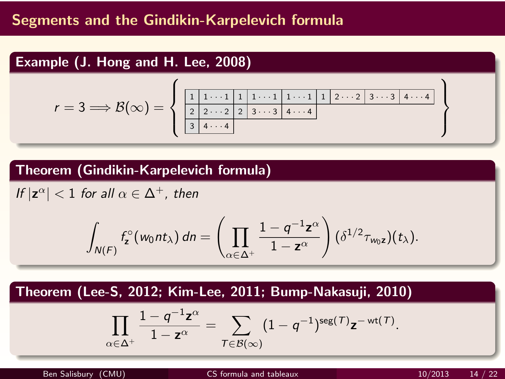### Example (J. Hong and H. Lee, 2008)

$$
r=3\Longrightarrow \mathcal{B}(\infty)=\Bigg\{
$$

 2 2 · · · 2 2 3 · · · 3 4 · · · 4 3 4 · · · 4

### Theorem (Gindikin-Karpelevich formula)

If  $|\mathsf{z}^\alpha| < 1$  for all  $\alpha \in \Delta^+$ , then

$$
\int_{N(F)} f_2^{\circ}(w_0nt_{\lambda})\,dn = \left(\prod_{\alpha\in\Delta^+}\frac{1-q^{-1}\mathbf{z}^{\alpha}}{1-\mathbf{z}^{\alpha}}\right)(\delta^{1/2}\tau_{w_0\mathbf{z}})(t_{\lambda}).
$$

#### Theorem (Lee-S, 2012; Kim-Lee, 2011; Bump-Nakasuji, 2010)

$$
\prod_{\alpha \in \Delta^+} \frac{1 - q^{-1} \mathsf{z}^\alpha}{1 - \mathsf{z}^\alpha} = \sum_{\mathcal{T} \in \mathcal{B}(\infty)} (1 - q^{-1})^{\mathsf{seg}(\mathcal{T})} \mathsf{z}^{-\mathsf{wt}(\mathcal{T})}.
$$

 $\overline{2 \cdots 2 \mid 3 \cdots 3 \mid 4 \cdots 4}$ 

 $\mathcal{L}$  $\overline{\mathcal{L}}$ 

 $\int$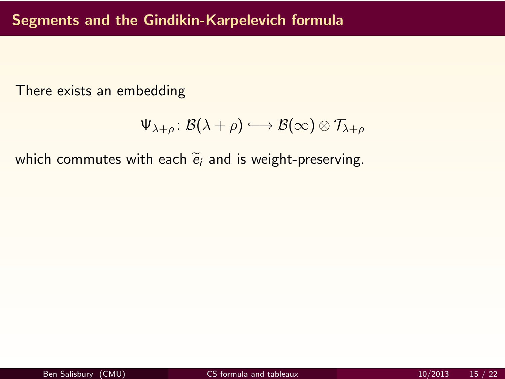There exists an embedding

$$
\Psi_{\lambda+\rho}\colon \mathcal{B}(\lambda+\rho)\longrightarrow \mathcal{B}(\infty)\otimes \mathcal{T}_{\lambda+\rho}
$$

which commutes with each  $\tilde{e}_i$  and is weight-preserving.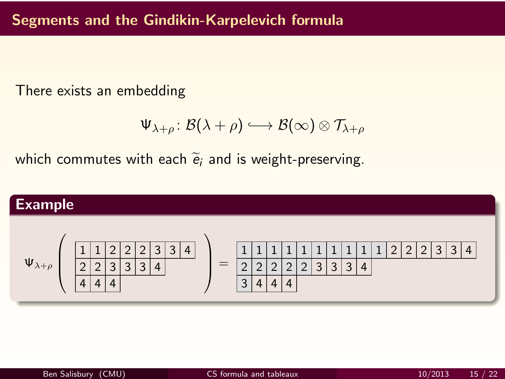There exists an embedding

$$
\Psi_{\lambda+\rho}\colon \mathcal{B}(\lambda+\rho)\longrightarrow \mathcal{B}(\infty)\otimes \mathcal{T}_{\lambda+\rho}
$$

which commutes with each  $\widetilde{e}_i$  and is weight-preserving.

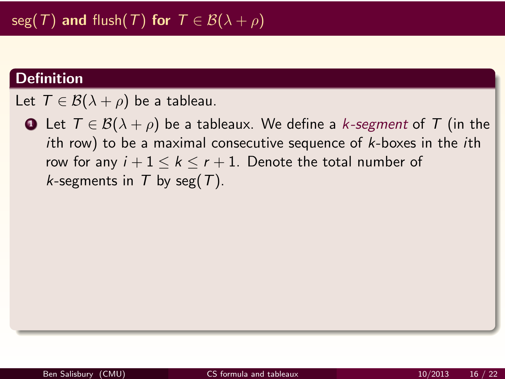Let  $T \in \mathcal{B}(\lambda + \rho)$  be a tableau.

**4** Let  $T \in \mathcal{B}(\lambda + \rho)$  be a tableaux. We define a k-segment of T (in the *ith row)* to be a maximal consecutive sequence of  $k$ -boxes in the *ith* row for any  $i + 1 \leq k \leq r + 1$ . Denote the total number of *k*-segments in T by seg(T).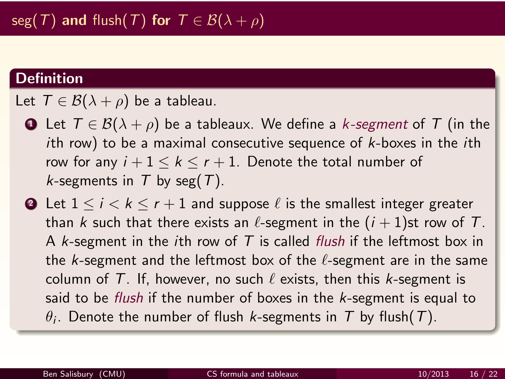Let  $T \in \mathcal{B}(\lambda + \rho)$  be a tableau.

- **1** Let  $T \in \mathcal{B}(\lambda + \rho)$  be a tableaux. We define a k-segment of T (in the *ith row)* to be a maximal consecutive sequence of  $k$ -boxes in the *ith* row for any  $i + 1 \leq k \leq r + 1$ . Denote the total number of *k*-segments in T by seg(T).
- 2 Let  $1 \le i \le k \le r+1$  and suppose  $\ell$  is the smallest integer greater than k such that there exists an  $\ell$ -segment in the  $(i + 1)$ st row of T. A k-segment in the *i*th row of T is called *flush* if the leftmost box in the k-segment and the leftmost box of the  $\ell$ -segment are in the same column of T. If, however, no such  $\ell$  exists, then this k-segment is said to be flush if the number of boxes in the k-segment is equal to  $\theta_i.$  Denote the number of flush  $k$ -segments in  $\mathcal T$  by flush $(\mathcal T).$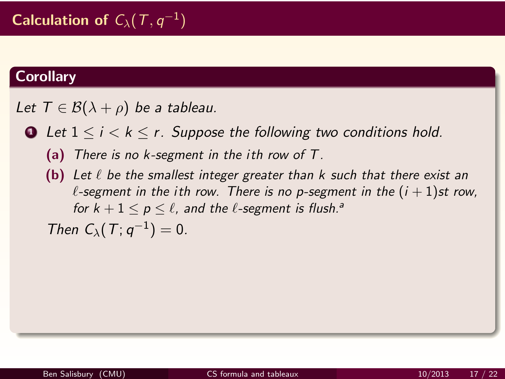#### **Corollary**

Let  $T \in \mathcal{B}(\lambda + \rho)$  be a tableau.

<span id="page-37-0"></span>**1** Let  $1 \le i \le k \le r$ . Suppose the following two conditions hold.

(a) There is no k-segment in the ith row of  $T$ .

<span id="page-37-1"></span>(b) Let  $\ell$  be the smallest integer greater than k such that there exist an l-segment in the ith row. There is no p-segment in the  $(i + 1)$ st row, for  $k + 1 \le p \le \ell$ , and the  $\ell$ -segment is flush.<sup>a</sup> Then  $C_{\lambda}(T; q^{-1}) = 0$ .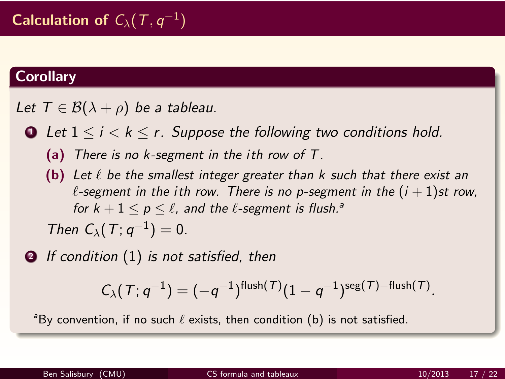#### **Corollary**

Let  $T \in \mathcal{B}(\lambda + \rho)$  be a tableau.

**1** Let  $1 \le i \le k \le r$ . Suppose the following two conditions hold.

(a) There is no k-segment in the ith row of  $T$ .

(b) Let  $\ell$  be the smallest integer greater than k such that there exist an l-segment in the ith row. There is no p-segment in the  $(i + 1)$ st row, for  $k + 1 \le p \le \ell$ , and the  $\ell$ -segment is flush.<sup>a</sup> Then  $C_{\lambda}(T; q^{-1}) = 0$ .

**2** If condition [\(1\)](#page-37-0) is not satisfied, then

$$
C_{\lambda}(\mathcal{T};q^{-1})=(-q^{-1})^{\mathsf{flush}(\mathcal{T})}(1-q^{-1})^{\mathsf{seg}(\mathcal{T})-\mathsf{flush}(\mathcal{T})}.
$$

<sup>a</sup>By convention, if no such  $\ell$  exists, then condition [\(b\)](#page-37-1) is not satisfied.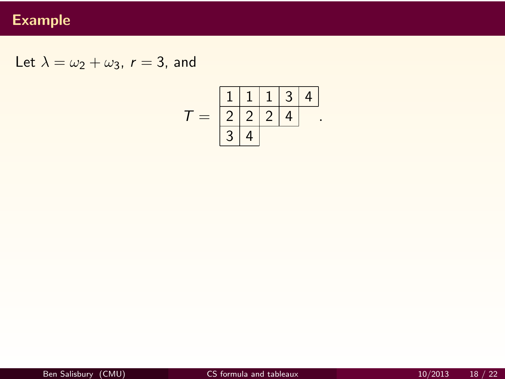Let 
$$
\lambda = \omega_2 + \omega_3
$$
,  $r = 3$ , and

$$
T = \frac{\begin{array}{|c|c|c|c|c|}\n\hline\n1 & 1 & 1 & 3 & 4 \\
\hline\n2 & 2 & 2 & 4 & \\
\hline\n3 & 4 & & \\
\hline\n\end{array}
$$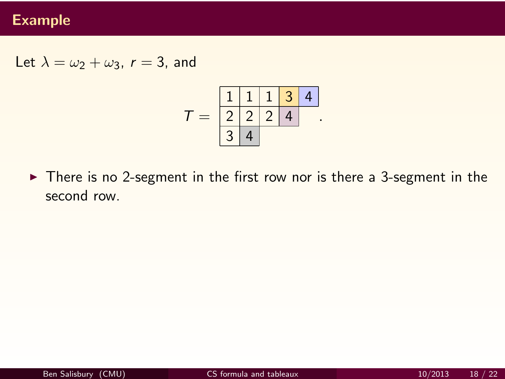Let  $\lambda = \omega_2 + \omega_3$ ,  $r = 3$ , and

$$
T = \frac{1 \ 1 \ 1 \ 1 \ 3 \ 4}{2 \ 2 \ 2 \ 4}
$$

.

 $\triangleright$  There is no 2-segment in the first row nor is there a 3-segment in the second row.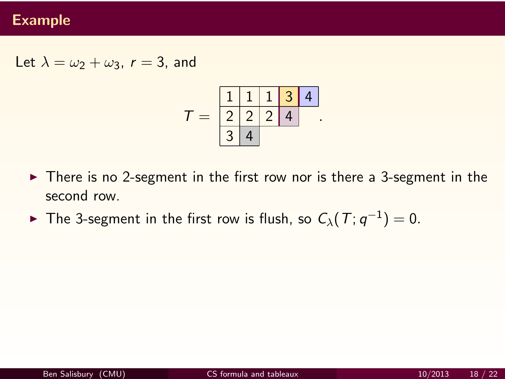Let 
$$
\lambda = \omega_2 + \omega_3
$$
,  $r = 3$ , and

$$
T = \frac{\begin{array}{|c|c|c|c|}\n\hline\n1 & 1 & 1 & 3 & 4 \\
\hline\n2 & 2 & 2 & 4 & \\
\hline\n3 & 4 & & \\
\hline\n\end{array}
$$

.

- $\triangleright$  There is no 2-segment in the first row nor is there a 3-segment in the second row.
- ► The 3-segment in the first row is flush, so  $\mathcal{C}_\lambda(\mathcal{T};q^{-1})=0.$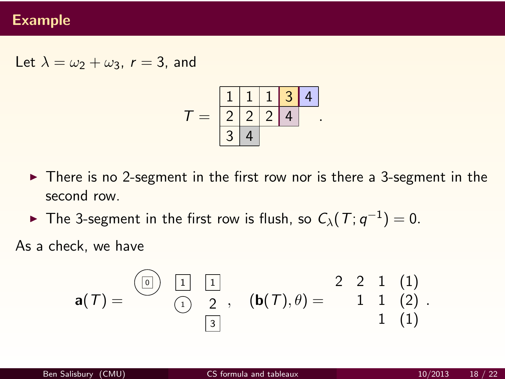Let 
$$
\lambda = \omega_2 + \omega_3
$$
,  $r = 3$ , and

$$
T = \begin{array}{|c|c|c|c|c|}\n\hline\n1 & 1 & 1 & 3 & 4 \\
\hline\n2 & 2 & 2 & 4 & 3 \\
\hline\n3 & 4 & & & \\
\hline\n\end{array}
$$

- $\triangleright$  There is no 2-segment in the first row nor is there a 3-segment in the second row.
- ► The 3-segment in the first row is flush, so  $\mathcal{C}_\lambda(\mathcal{T};q^{-1})=0.$

As a check, we have

$$
\mathbf{a}(\mathcal{T}) = \begin{array}{c} \boxed{0} & \boxed{1} & \boxed{1} \\ \boxed{0} & 2 \\ \boxed{3} & \end{array}, \quad (\mathbf{b}(\mathcal{T}), \theta) = \begin{array}{c} 2 & 2 & 1 & (1) \\ 1 & 1 & (2) \\ 1 & (1) \end{array}.
$$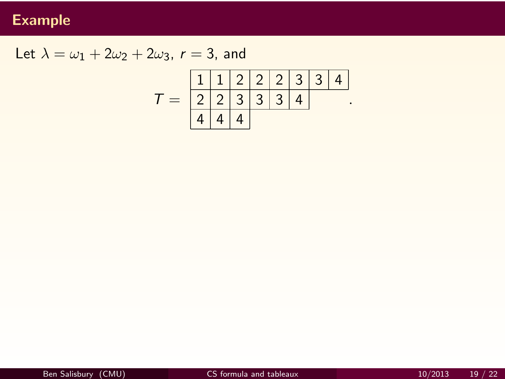## Let  $\lambda = \omega_1 + 2\omega_2 + 2\omega_3$ ,  $r = 3$ , and

$$
T = \begin{array}{|c|c|c|c|c|c|c|} \hline 1 & 1 & 2 & 2 & 2 & 3 & 3 & 4 \\ \hline 2 & 2 & 3 & 3 & 3 & 4 & 4 & 4 & 4 & 4 & 4 \\ \hline 4 & 4 & 4 & 4 & 5 & 6 & 6 & 6 & 6 \\ \hline \end{array}
$$

.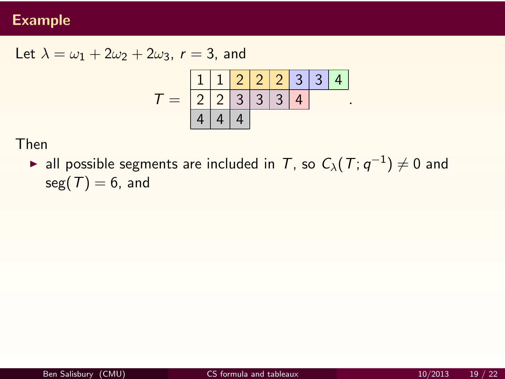Let 
$$
\lambda = \omega_1 + 2\omega_2 + 2\omega_3
$$
,  $r = 3$ , and

$$
T = \begin{array}{c|cccc} 1 & 1 & 2 & 2 & 2 & 3 & 3 & 4 \\ 2 & 2 & 3 & 3 & 3 & 4 \\ 4 & 4 & 4 & & & \end{array}.
$$

### Then

 $\blacktriangleright$  all possible segments are included in  $|{\mathcal T}|$ , so  $\mathcal{C}_\lambda({\mathcal T};q^{-1})\neq 0$  and  $seg(T) = 6$ , and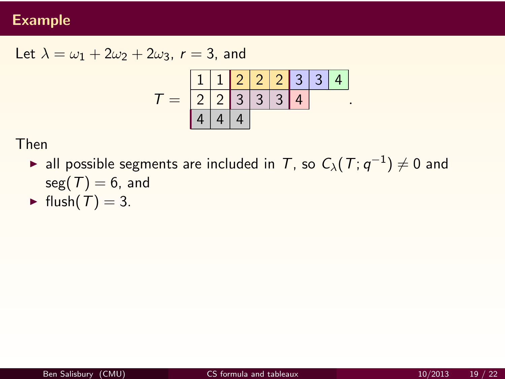Let 
$$
\lambda = \omega_1 + 2\omega_2 + 2\omega_3
$$
,  $r = 3$ , and

$$
T = \begin{array}{|c|c|c|c|c|c|c|} \hline 1 & 1 & 2 & 2 & 2 & 3 & 3 & 4 \\ \hline 2 & 2 & 3 & 3 & 3 & 4 & \\ \hline 4 & 4 & 4 & & & \end{array}.
$$

### Then

- $\blacktriangleright$  all possible segments are included in  $|{\mathcal T}|$ , so  $\mathcal{C}_\lambda({\mathcal T};q^{-1})\neq 0$  and  $seg(T) = 6$ , and
- In flush  $(T) = 3$ .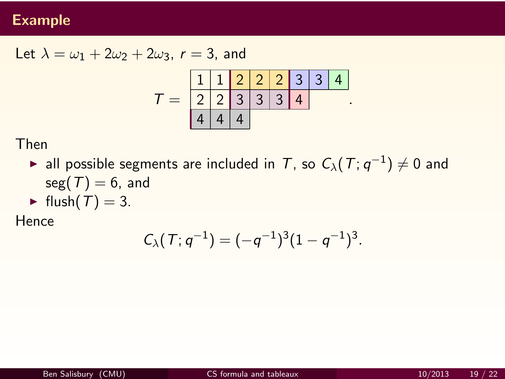Let 
$$
\lambda = \omega_1 + 2\omega_2 + 2\omega_3
$$
,  $r = 3$ , and

$$
T = \begin{array}{|c|c|c|c|c|c|c|} \hline 1 & 1 & 2 & 2 & 2 & 3 & 3 & 4 \\ \hline 2 & 2 & 3 & 3 & 3 & 4 & \\ \hline 4 & 4 & 4 & & & \end{array}.
$$

### Then

- $\blacktriangleright$  all possible segments are included in  $|{\mathcal T}|$ , so  $\mathcal{C}_\lambda({\mathcal T};q^{-1})\neq 0$  and  $seg(T) = 6$ , and
- In flush  $(T) = 3$ .

Hence

$$
C_{\lambda}(T;q^{-1})=(-q^{-1})^3(1-q^{-1})^3.
$$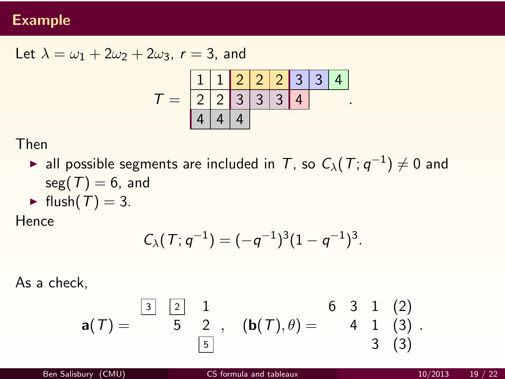Let 
$$
\lambda = \omega_1 + 2\omega_2 + 2\omega_3
$$
,  $r = 3$ , and

$$
T = \begin{array}{|c|c|c|c|c|c|c|} \hline 1 & 1 & 2 & 2 & 2 & 3 & 3 & 4 \\ \hline 2 & 2 & 3 & 3 & 3 & 4 & \\ \hline 4 & 4 & 4 & & & \end{array}.
$$

### Then

- $\blacktriangleright$  all possible segments are included in  $|{\mathcal T}|$ , so  $\mathcal{C}_\lambda({\mathcal T};q^{-1})\neq 0$  and  $seg(T) = 6$ , and
- In flush  $(T) = 3$ .

Hence

$$
C_{\lambda}(T;q^{-1})=(-q^{-1})^3(1-q^{-1})^3.
$$

As a check,

$$
\mathbf{a}(\mathcal{T}) = \begin{bmatrix} 3 & 2 & 1 \\ 5 & 2 & 0 \\ 5 & 5 & 5 \end{bmatrix}, \quad (\mathbf{b}(\mathcal{T}), \theta) = \begin{bmatrix} 6 & 3 & 1 & (2) \\ 4 & 1 & (3) \\ 3 & (3) & 5 \end{bmatrix}.
$$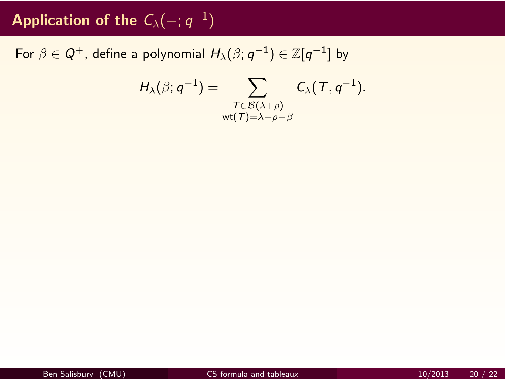Application of the  $C_\lambda(-; q^{-1})$ 

For  $\beta\in\mathsf{Q}^{+}$ , define a polynomial  $H_{\lambda}(\beta;q^{-1})\in\mathbb{Z}[q^{-1}]$  by

$$
H_{\lambda}(\beta;q^{-1}) = \sum_{\substack{T \in \mathcal{B}(\lambda+\rho) \\ \text{wt}(T)=\lambda+\rho-\beta}} C_{\lambda}(T,q^{-1}).
$$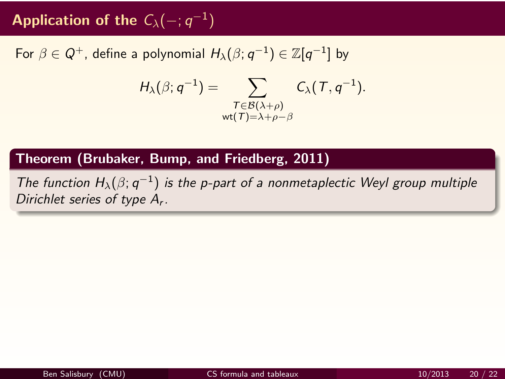Application of the  $C_\lambda(-; q^{-1})$ 

For  $\beta\in\mathsf{Q}^{+}$ , define a polynomial  $H_{\lambda}(\beta;q^{-1})\in\mathbb{Z}[q^{-1}]$  by

$$
H_{\lambda}(\beta;q^{-1}) = \sum_{\substack{T \in \mathcal{B}(\lambda+\rho) \\ \text{wt}(T)=\lambda+\rho-\beta}} C_{\lambda}(T,q^{-1}).
$$

#### Theorem (Brubaker, Bump, and Friedberg, 2011)

The function  $H_{\lambda}(\beta; q^{-1})$  is the p-part of a nonmetaplectic Weyl group multiple Dirichlet series of type  $A_r$ .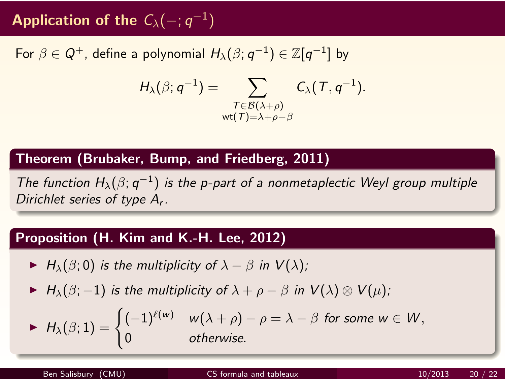Application of the  $C_\lambda(-; q^{-1})$ 

For  $\beta\in\mathsf{Q}^{+}$ , define a polynomial  $H_{\lambda}(\beta;q^{-1})\in\mathbb{Z}[q^{-1}]$  by

$$
H_{\lambda}(\beta;q^{-1}) = \sum_{\substack{T \in \mathcal{B}(\lambda+\rho) \\ \text{wt}(T)=\lambda+\rho-\beta}} C_{\lambda}(T,q^{-1}).
$$

#### Theorem (Brubaker, Bump, and Friedberg, 2011)

The function  $H_{\lambda}(\beta; q^{-1})$  is the p-part of a nonmetaplectic Weyl group multiple Dirichlet series of type  $A_r$ .

#### Proposition (H. Kim and K.-H. Lee, 2012)

$$
\blacktriangleright H_{\lambda}(\beta;0) \text{ is the multiplicity of } \lambda - \beta \text{ in } V(\lambda);
$$

$$
\blacktriangleright H_{\lambda}(\beta;-1) \text{ is the multiplicity of } \lambda + \rho - \beta \text{ in } V(\lambda) \otimes V(\mu);
$$

$$
\blacktriangleright H_{\lambda}(\beta;1) = \begin{cases} (-1)^{\ell(w)} & w(\lambda + \rho) - \rho = \lambda - \beta \text{ for some } w \in W, \\ 0 & \text{otherwise.} \end{cases}
$$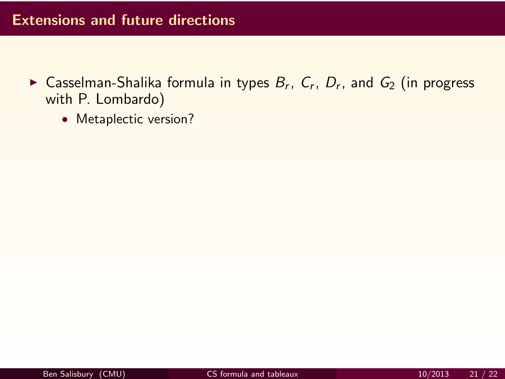- $\blacktriangleright$  Casselman-Shalika formula in types  $B_r,$   $C_r,$   $D_r,$  and  $G_2$  (in progress with P. Lombardo)
	- Metaplectic version?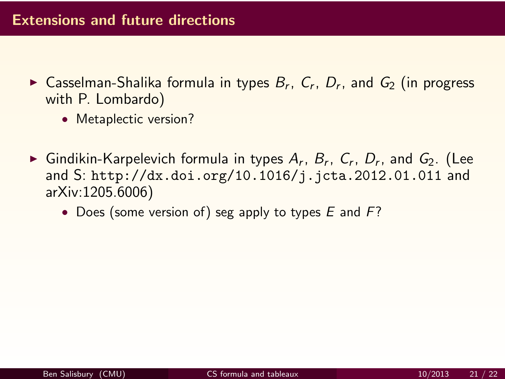- $\blacktriangleright$  Casselman-Shalika formula in types  $B_r,$   $C_r,$   $D_r,$  and  $G_2$  (in progress with P. Lombardo)
	- Metaplectic version?
- $\blacktriangleright$  Gindikin-Karpelevich formula in types  $A_r$ ,  $B_r$ ,  $C_r$ ,  $D_r$ , and  $G_2$ . (Lee and S: <http://dx.doi.org/10.1016/j.jcta.2012.01.011> and arXiv:1205.6006)
	- Does (some version of) seg apply to types  $E$  and  $F$ ?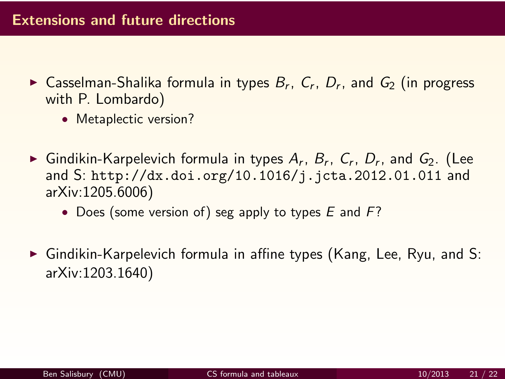- $\blacktriangleright$  Casselman-Shalika formula in types  $B_r,$   $C_r,$   $D_r,$  and  $G_2$  (in progress with P. Lombardo)
	- Metaplectic version?
- $\blacktriangleright$  Gindikin-Karpelevich formula in types  $A_r$ ,  $B_r$ ,  $C_r$ ,  $D_r$ , and  $G_2$ . (Lee and S: <http://dx.doi.org/10.1016/j.jcta.2012.01.011> and arXiv:1205.6006)
	- Does (some version of) seg apply to types  $E$  and  $F$ ?
- $\triangleright$  Gindikin-Karpelevich formula in affine types (Kang, Lee, Ryu, and S: arXiv:1203.1640)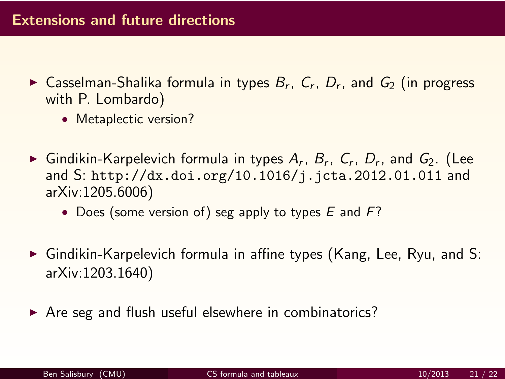- $\blacktriangleright$  Casselman-Shalika formula in types  $B_r,$   $C_r,$   $D_r,$  and  $G_2$  (in progress with P. Lombardo)
	- Metaplectic version?
- $\blacktriangleright$  Gindikin-Karpelevich formula in types  $A_r$ ,  $B_r$ ,  $C_r$ ,  $D_r$ , and  $G_2$ . (Lee and S: <http://dx.doi.org/10.1016/j.jcta.2012.01.011> and arXiv:1205.6006)
	- Does (some version of) seg apply to types  $E$  and  $F$ ?
- $\triangleright$  Gindikin-Karpelevich formula in affine types (Kang, Lee, Ryu, and S: arXiv:1203.1640)
- $\triangleright$  Are seg and flush useful elsewhere in combinatorics?